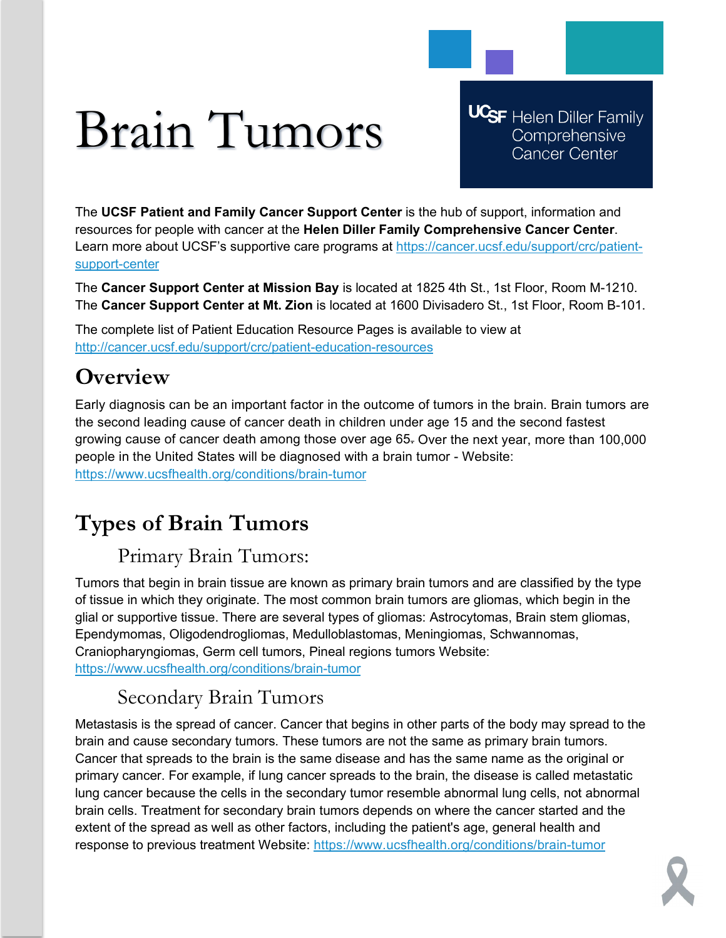# Brain Tumors

**UCSF** Helen Diller Family Comprehensive **Cancer Center** 

The **UCSF Patient and Family Cancer Support Center** is the hub of support, information and resources for people with cancer at the **Helen Diller Family Comprehensive Cancer Center**. Learn more about UCSF's supportive care programs at [https://cancer.ucsf.edu/support/crc/patient](https://cancer.ucsf.edu/support/crc/patient-support-center)[support-center](https://cancer.ucsf.edu/support/crc/patient-support-center)

The **Cancer Support Center at Mission Bay** is located at 1825 4th St., 1st Floor, Room M-1210. The **Cancer Support Center at Mt. Zion** is located at 1600 Divisadero St., 1st Floor, Room B-101.

The complete list of Patient Education Resource Pages is available to view at <http://cancer.ucsf.edu/support/crc/patient-education-resources>

## **Overview**

Early diagnosis can be an important factor in the outcome of tumors in the brain. Brain tumors are the second leading cause of cancer death in children under age 15 and the second fastest growing cause of cancer death among those over age 65. Over the next year, more than 100,000 people in the United States will be diagnosed with a brain tumor - Website: <https://www.ucsfhealth.org/conditions/brain-tumor>

# **Types of Brain Tumors**

## Primary Brain Tumors:

Tumors that begin in brain tissue are known as primary brain tumors and are classified by the type of tissue in which they originate. The most common brain tumors are gliomas, which begin in the glial or supportive tissue. There are several types of gliomas: Astrocytomas, Brain stem gliomas, Ependymomas, Oligodendrogliomas, Medulloblastomas, Meningiomas, Schwannomas, Craniopharyngiomas, Germ cell tumors, Pineal regions tumors Website: <https://www.ucsfhealth.org/conditions/brain-tumor>

## Secondary Brain Tumors

Metastasis is the spread of cancer. Cancer that begins in other parts of the body may spread to the brain and cause secondary tumors. These tumors are not the same as primary brain tumors. Cancer that spreads to the brain is the same disease and has the same name as the original or primary cancer. For example, if lung cancer spreads to the brain, the disease is called metastatic lung cancer because the cells in the secondary tumor resemble abnormal lung cells, not abnormal brain cells. Treatment for secondary brain tumors depends on where the cancer started and the extent of the spread as well as other factors, including the patient's age, general health and response to previous treatment Website:<https://www.ucsfhealth.org/conditions/brain-tumor>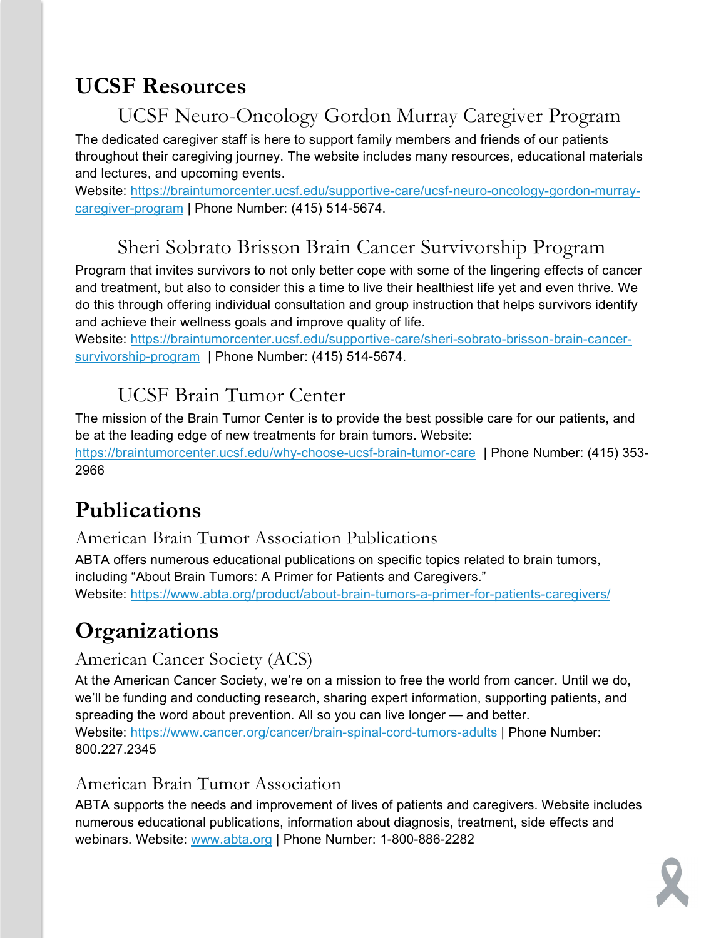## **UCSF Resources**

## UCSF Neuro-Oncology Gordon Murray Caregiver Program

The dedicated caregiver staff is here to support family members and friends of our patients throughout their caregiving journey. The website includes many resources, educational materials and lectures, and upcoming events.

Website: [https://braintumorcenter.ucsf.edu/supportive-care/ucsf-neuro-oncology-gordon-murray](https://braintumorcenter.ucsf.edu/supportive-care/ucsf-neuro-oncology-gordon-murray-caregiver-program)[caregiver-program](https://braintumorcenter.ucsf.edu/supportive-care/ucsf-neuro-oncology-gordon-murray-caregiver-program) | Phone Number: (415) 514-5674.

## Sheri Sobrato Brisson Brain Cancer Survivorship Program

Program that invites survivors to not only better cope with some of the lingering effects of cancer and treatment, but also to consider this a time to live their healthiest life yet and even thrive. We do this through offering individual consultation and group instruction that helps survivors identify and achieve their wellness goals and improve quality of life.

Website: [https://braintumorcenter.ucsf.edu/supportive-care/sheri-sobrato-brisson-brain-cancer](https://braintumorcenter.ucsf.edu/supportive-care/sheri-sobrato-brisson-brain-cancer-survivorship-program)[survivorship-program](https://braintumorcenter.ucsf.edu/supportive-care/sheri-sobrato-brisson-brain-cancer-survivorship-program) | Phone Number: (415) 514-5674.

## UCSF Brain Tumor Center

The mission of the Brain Tumor Center is to provide the best possible care for our patients, and be at the leading edge of new treatments for brain tumors. Website: <https://braintumorcenter.ucsf.edu/why-choose-ucsf-brain-tumor-care> | Phone Number: (415) 353- 2966

# **Publications**

American Brain Tumor Association Publications

ABTA offers numerous educational publications on specific topics related to brain tumors, including "About Brain Tumors: A Primer for Patients and Caregivers." Website:<https://www.abta.org/product/about-brain-tumors-a-primer-for-patients-caregivers/>

# **Organizations**

#### American Cancer Society (ACS)

At the American Cancer Society, we're on a mission to free the world from cancer. Until we do, we'll be funding and conducting research, sharing expert information, supporting patients, and spreading the word about prevention. All so you can live longer — and better. Website:<https://www.cancer.org/cancer/brain-spinal-cord-tumors-adults> | Phone Number: 800.227.2345

#### American Brain Tumor Association

ABTA supports the needs and improvement of lives of patients and caregivers. Website includes numerous educational publications, information about diagnosis, treatment, side effects and webinars. Website: [www.abta.org](http://www.abta.org/) | Phone Number: 1-800-886-2282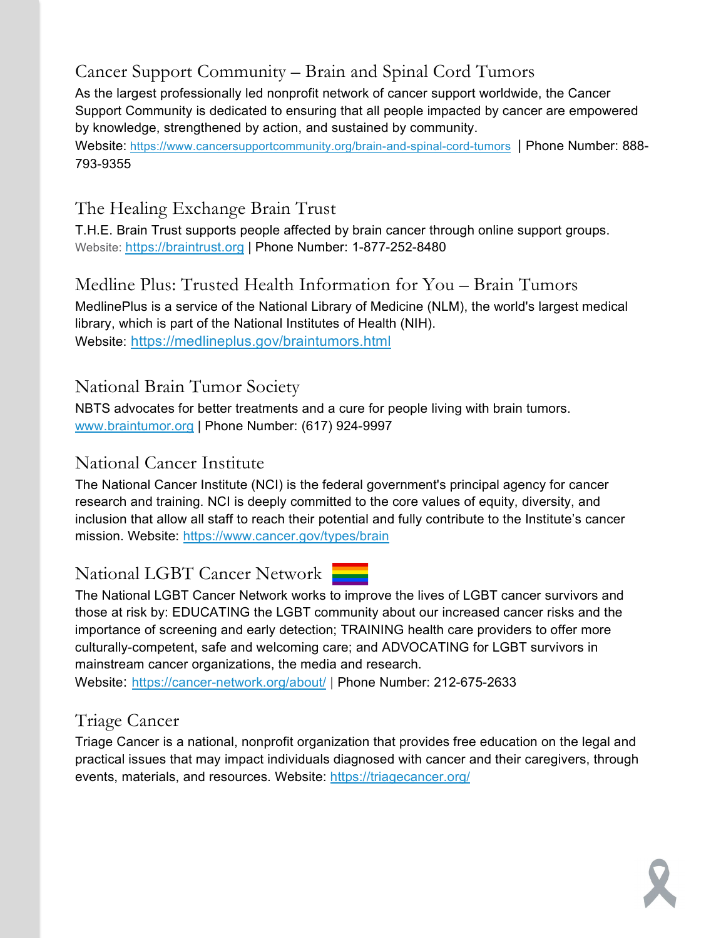### Cancer Support Community – Brain and Spinal Cord Tumors

As the largest professionally led nonprofit network of cancer support worldwide, the Cancer Support Community is dedicated to ensuring that all people impacted by cancer are empowered by knowledge, strengthened by action, and sustained by community.

Website: <https://www.cancersupportcommunity.org/brain-and-spinal-cord-tumors>| Phone Number: 888- 793-9355

#### The Healing Exchange Brain Trust

T.H.E. Brain Trust supports people affected by brain cancer through online support groups. Website: [https://braintrust.org](https://braintrust.org/) | Phone Number: 1-877-252-8480

#### Medline Plus: Trusted Health Information for You – Brain Tumors

MedlinePlus is a service of the National Library of Medicine (NLM), the world's largest medical library, which is part of the National Institutes of Health (NIH). Website: <https://medlineplus.gov/braintumors.html>

#### National Brain Tumor Society

NBTS advocates for better treatments and a cure for people living with brain tumors. [www.braintumor.org](http://www.braintumor.org/) | Phone Number: (617) 924-9997

#### National Cancer Institute

The National Cancer Institute (NCI) is the federal government's principal agency for cancer research and training. NCI is deeply committed to the core values of equity, diversity, and inclusion that allow all staff to reach their potential and fully contribute to the Institute's cancer mission. Website:<https://www.cancer.gov/types/brain>

#### National LGBT Cancer Network

The National LGBT Cancer Network works to improve the lives of LGBT cancer survivors and those at risk by: EDUCATING the LGBT community about our increased cancer risks and the importance of screening and early detection; TRAINING health care providers to offer more culturally-competent, safe and welcoming care; and ADVOCATING for LGBT survivors in mainstream cancer organizations, the media and research.

Website: <https://cancer-network.org/about/> | Phone Number: 212-675-2633

#### Triage Cancer

Triage Cancer is a national, nonprofit organization that provides free education on the legal and practical issues that may impact individuals diagnosed with cancer and their caregivers, through events, materials, and resources. Website:<https://triagecancer.org/>